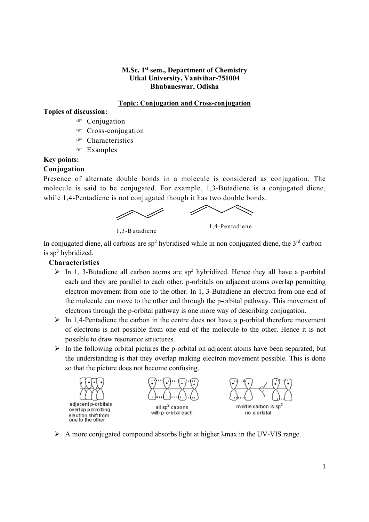#### M.Sc. 1<sup>st</sup> sem., Department of Chemistry Utkal University, Vanivihar-751004 Bhubaneswar, Odisha

## Topic: Conjugation and Cross-conjugation

### Topics of discussion:

- <sup>®</sup> Conjugation
- Cross-conjugation
- Characteristics
- Examples

# Key points:

## Conjugation

Presence of alternate double bonds in a molecule is considered as conjugation. The molecule is said to be conjugated. For example, 1,3-Butadiene is a conjugated diene, while 1,4-Pentadiene is not conjugated though it has two double bonds.

1,3-Butadiene 1,4-Pentadiene

In conjugated diene, all carbons are sp<sup>2</sup> hybridised while in non conjugated diene, the 3<sup>rd</sup> carbon is sp<sup>3</sup> hybridized.

## Characteristics

- $\triangleright$  In 1, 3-Butadiene all carbon atoms are sp<sup>2</sup> hybridized. Hence they all have a p-orbital each and they are parallel to each other. p-orbitals on adjacent atoms overlap permitting electron movement from one to the other. In 1, 3-Butadiene an electron from one end of the molecule can move to the other end through the p-orbital pathway. This movement of electrons through the p-orbital pathway is one more way of describing conjugation.
- $\triangleright$  In 1,4-Pentadiene the carbon in the centre does not have a p-orbital therefore movement of electrons is not possible from one end of the molecule to the other. Hence it is not possible to draw resonance structures.
- $\triangleright$  In the following orbital pictures the p-orbital on adjacent atoms have been separated, but the understanding is that they overlap making electron movement possible. This is done so that the picture does not become confusing.



 $\triangleright$  A more conjugated compound absorbs light at higher  $\lambda$ max in the UV-VIS range.